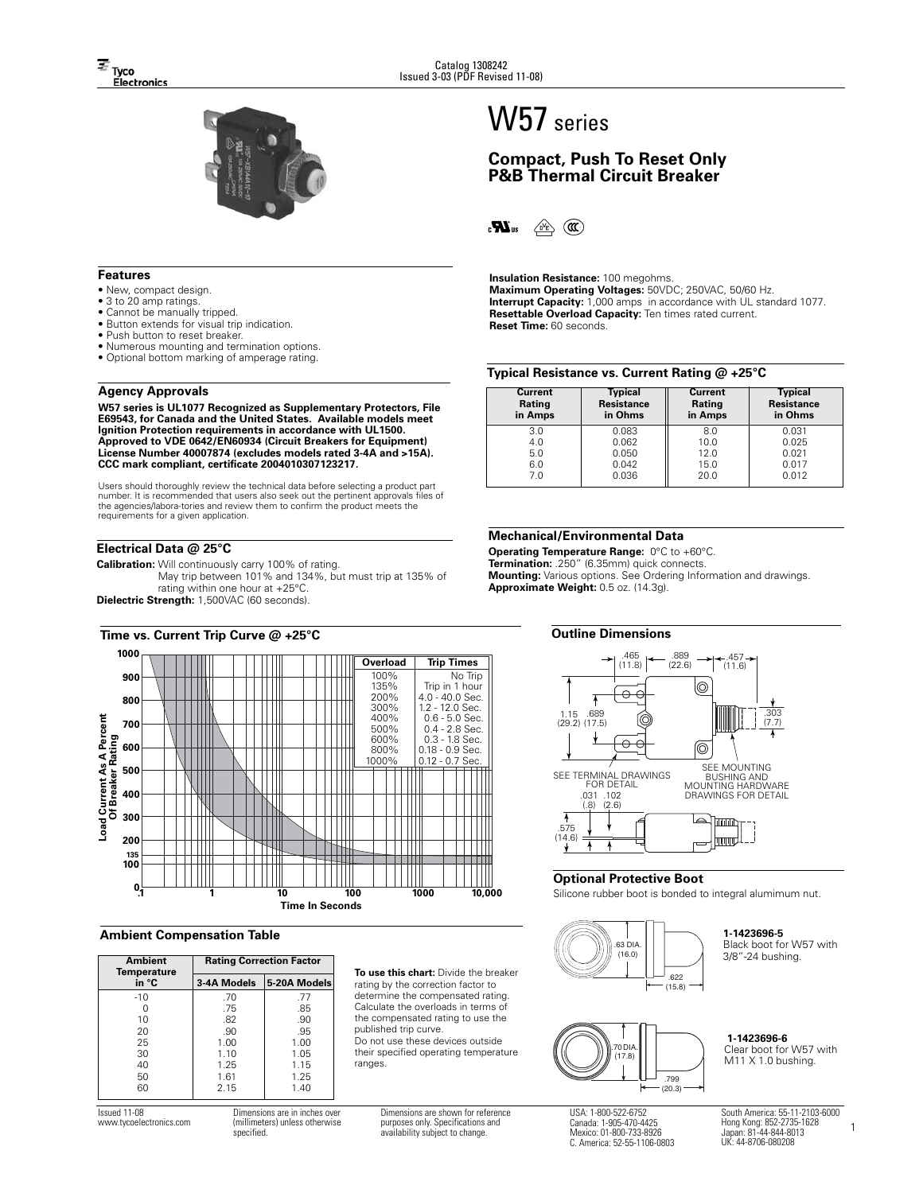

## **Features**

- New, compact design.
- 3 to 20 amp ratings.
- Cannot be manually tripped.
- Button extends for visual trip indication.
- Push button to reset breaker.
- Numerous mounting and termination options.
- Optional bottom marking of amperage rating.

#### **Agency Approvals**

**W57 series is UL1077 Recognized as Supplementary Protectors, File E69543, for Canada and the United States. Available models meet Ignition Protection requirements in accordance with UL1500. Approved to VDE 0642/EN60934 (Circuit Breakers for Equipment) License Number 40007874 (excludes models rated 3-4A and >15A). CCC mark compliant, certificate 2004010307123217.**

Users should thoroughly review the technical data before selecting a product part number. It is recommended that users also seek out the pertinent approvals files of the agencies/labora-tories and review them to confirm the product meets the requirements for a given application.

## **Electrical Data @ 25°C**

**Calibration:** Will continuously carry 100% of rating. May trip between 101% and 134%, but must trip at 135% of rating within one hour at +25°C.

**Dielectric Strength:** 1,500VAC (60 seconds).



#### **Ambient Compensation Table**

| Ambient<br><b>Temperature</b> | <b>Rating Correction Factor</b> |              |  |  |
|-------------------------------|---------------------------------|--------------|--|--|
| in °C                         | 3-4A Models                     | 5-20A Models |  |  |
| $-10$                         | .70                             | .77          |  |  |
|                               | .75                             | .85          |  |  |
| 10                            | .82                             | .90          |  |  |
| 20                            | .90                             | .95          |  |  |
| 25                            | 1.00                            | 1.00         |  |  |
| 30                            | 1.10                            | 1.05         |  |  |
| 40                            | 1.25                            | 1.15         |  |  |
| 50                            | 1.61                            | 1.25         |  |  |
| 60                            | 2.15                            | 1.40         |  |  |

**To use this chart:** Divide the breaker rating by the correction factor to determine the compensated rating. Calculate the overloads in terms of the compensated rating to use the published trip curve. Do not use these devices outside their specified operating temperature ranges.

# W57 series

# **Compact, Push To Reset Only P&B Thermal Circuit Breaker**

 $\mathbf{R}_3$  $\circledcirc$  (a)

**Insulation Resistance:** 100 megohms. **Maximum Operating Voltages:** 50VDC; 250VAC, 50/60 Hz. **Interrupt Capacity:** 1,000 amps in accordance with UL standard 1077. **Resettable Overload Capacity:** Ten times rated current. **Reset Time:** 60 seconds.

## **Typical Resistance vs. Current Rating @ +25°C**

| <b>Current</b><br>Rating<br>in Amps | Typical<br><b>Resistance</b><br>in Ohms | <b>Current</b><br>Rating<br>in Amps | <b>Typical</b><br><b>Resistance</b><br>in Ohms |  |  |
|-------------------------------------|-----------------------------------------|-------------------------------------|------------------------------------------------|--|--|
| 3.0                                 | 0.083                                   | 8.0                                 | 0.031                                          |  |  |
| 4.0                                 | 0.062                                   | 10.0                                | 0.025                                          |  |  |
| 5.0                                 | 0.050                                   | 12.0                                | 0.021                                          |  |  |
| 6.0                                 | 0.042                                   | 15.0                                | 0.017                                          |  |  |
| 7.0                                 | 0.036                                   | 20.0                                | 0.012                                          |  |  |

#### **Mechanical/Environmental Data**

**Operating Temperature Range:** 0°C to +60°C. **Termination:** .250" (6.35mm) quick connects. **Mounting:** Various options. See Ordering Information and drawings. **Approximate Weight:** 0.5 oz. (14.3g).

#### **Outline Dimensions**



#### **Optional Protective Boot**

Silicone rubber boot is bonded to integral alumimum nut.



### **1-1423696-5**

Black boot for W57 with 3/8"-24 bushing.



**1-1423696-6** Clear boot for W57 with M11 X 1.0 bushing.

Issued 11-08 www.tycoelectronics.com Dimensions are in inches ove (millimeters) unless otherwise specified.

Dimensions are shown for reference purposes only. Specifications and availability subject to change.

USA: 1-800-522-6752 Canada: 1-905-470-4425 Mexico: 01-800-733-8926 C. America: 52-55-1106-0803

South America: 55-11-2103-6000 Hong Kong: 852-2735-1628 Japan: 81-44-844-8013 UK: 44-8706-080208

1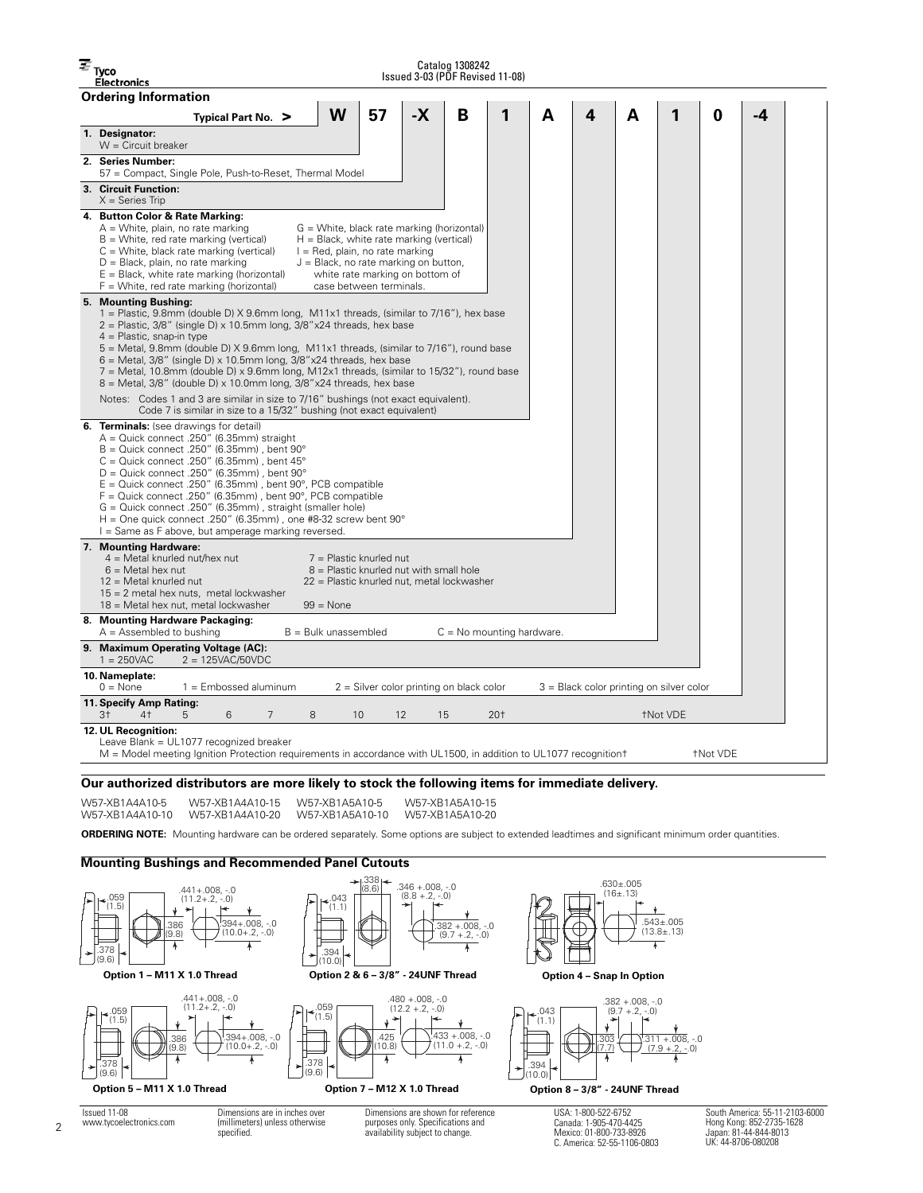$\overline{\equiv}$  Tyco

Catalog 1308242 Issued 3-03 (PDF Revised 11-08)

|                             | ISSUEd 3-03 (PDF Revised 11-08)<br>Electronics                                                                                                                                                                                                                                                                                                                                                                                                                                                                                                                                                           |  |  |  |  |
|-----------------------------|----------------------------------------------------------------------------------------------------------------------------------------------------------------------------------------------------------------------------------------------------------------------------------------------------------------------------------------------------------------------------------------------------------------------------------------------------------------------------------------------------------------------------------------------------------------------------------------------------------|--|--|--|--|
| <b>Ordering Information</b> |                                                                                                                                                                                                                                                                                                                                                                                                                                                                                                                                                                                                          |  |  |  |  |
|                             | W<br>$-X$<br>57<br>B<br>0<br>1<br>A<br>4<br>А<br>1<br>-4<br>Typical Part No. >                                                                                                                                                                                                                                                                                                                                                                                                                                                                                                                           |  |  |  |  |
|                             | 1. Designator:<br>$W =$ Circuit breaker                                                                                                                                                                                                                                                                                                                                                                                                                                                                                                                                                                  |  |  |  |  |
|                             | 2. Series Number:<br>57 = Compact, Single Pole, Push-to-Reset, Thermal Model                                                                                                                                                                                                                                                                                                                                                                                                                                                                                                                             |  |  |  |  |
|                             | 3. Circuit Function:<br>$X =$ Series Trip                                                                                                                                                                                                                                                                                                                                                                                                                                                                                                                                                                |  |  |  |  |
|                             | 4. Button Color & Rate Marking:<br>$A =$ White, plain, no rate marking<br>G = White, black rate marking (horizontal)<br>$B =$ White, red rate marking (vertical)<br>$H = Black$ , white rate marking (vertical)<br>C = White, black rate marking (vertical)<br>$I = Red$ , plain, no rate marking<br>D = Black, plain, no rate marking<br>$J = Black$ , no rate marking on button,<br>$E = Black$ , white rate marking (horizontal)<br>white rate marking on bottom of<br>$F =$ White, red rate marking (horizontal)<br>case between terminals.                                                          |  |  |  |  |
|                             | 5. Mounting Bushing:<br>1 = Plastic, 9.8mm (double D) $X$ 9.6mm long, M11x1 threads, (similar to 7/16"), hex base<br>$2$ = Plastic, 3/8" (single D) x 10.5mm long, 3/8"x24 threads, hex base<br>$4 =$ Plastic, snap-in type<br>5 = Metal, 9.8mm (double D) X 9.6mm long, M11x1 threads, (similar to 7/16"), round base<br>$6$ = Metal, 3/8" (single D) x 10.5mm long, 3/8"x24 threads, hex base<br>$7$ = Metal, 10.8mm (double D) x 9.6mm long, M12x1 threads, (similar to 15/32"), round base<br>$8$ = Metal, 3/8" (double D) x 10.0mm long, 3/8"x24 threads, hex base                                  |  |  |  |  |
|                             | Notes: Codes 1 and 3 are similar in size to 7/16" bushings (not exact equivalent).<br>Code 7 is similar in size to a 15/32" bushing (not exact equivalent)                                                                                                                                                                                                                                                                                                                                                                                                                                               |  |  |  |  |
|                             | <b>6. Terminals:</b> (see drawings for detail)<br>$A =$ Quick connect .250" (6.35mm) straight<br>$B =$ Quick connect .250" (6.35mm), bent 90 $^{\circ}$<br>$C =$ Quick connect .250" (6.35mm), bent 45 $^{\circ}$<br>$D =$ Quick connect .250" (6.35mm), bent 90 $^{\circ}$<br>$E =$ Quick connect .250" (6.35mm), bent 90°, PCB compatible<br>$F =$ Quick connect .250" (6.35mm), bent 90°, PCB compatible<br>G = Quick connect .250" (6.35mm), straight (smaller hole)<br>H = One quick connect .250" (6.35mm), one #8-32 screw bent $90^\circ$<br>I = Same as F above, but amperage marking reversed. |  |  |  |  |
|                             | 7. Mounting Hardware:<br>$4$ = Metal knurled nut/hex nut<br>$7 =$ Plastic knurled nut<br>$6$ = Metal hex nut<br>$8$ = Plastic knurled nut with small hole<br>$12$ = Metal knurled nut<br>22 = Plastic knurled nut, metal lockwasher<br>$15 = 2$ metal hex nuts, metal lockwasher<br>18 = Metal hex nut, metal lockwasher<br>$99 = None$                                                                                                                                                                                                                                                                  |  |  |  |  |
|                             | 8. Mounting Hardware Packaging:                                                                                                                                                                                                                                                                                                                                                                                                                                                                                                                                                                          |  |  |  |  |
|                             | $A =$ Assembled to bushing<br>$B =$ Bulk unassembled<br>$C = No$ mounting hardware.<br>9. Maximum Operating Voltage (AC):                                                                                                                                                                                                                                                                                                                                                                                                                                                                                |  |  |  |  |
|                             | $1 = 250VAC$<br>$2 = 125VAC/50VDC$                                                                                                                                                                                                                                                                                                                                                                                                                                                                                                                                                                       |  |  |  |  |
|                             | 10. Nameplate:<br>$0 = \text{None}$<br>$1 =$ Embossed aluminum<br>$2 =$ Silver color printing on black color<br>$3$ = Black color printing on silver color                                                                                                                                                                                                                                                                                                                                                                                                                                               |  |  |  |  |
|                             | 11. Specify Amp Rating:<br>3 <sup>†</sup><br>4 <sup>†</sup><br>6<br>$\overline{7}$<br>8<br>10<br>20 <sub>†</sub><br><b>TNot VDE</b><br>5<br>12<br>15                                                                                                                                                                                                                                                                                                                                                                                                                                                     |  |  |  |  |
|                             | 12. UL Recognition:<br>Leave Blank = UL1077 recognized breaker<br><b>TNot VDE</b><br>M = Model meeting Ignition Protection requirements in accordance with UL1500, in addition to UL1077 recognition t                                                                                                                                                                                                                                                                                                                                                                                                   |  |  |  |  |

**Our authorized distributors are more likely to stock the following items for immediate delivery.**

W57-XB1A4A10-5 W57-XB1A4A10-10 W57-XB1A4A10-20 W57-XB1A5A10-10 W57-XB1A5A10-20W57-XB1A4A10-15 W57-XB1A5A10-5

W57-XB1A5A10-15

**ORDERING NOTE:** Mounting hardware can be ordered separately. Some options are subject to extended leadtimes and significant minimum order quantities.

## **Mounting Bushings and Recommended Panel Cutouts**



South America: 55-11-2103-6000 Hong Kong: 852-2735-1628 Japan: 81-44-844-8013 UK: 44-8706-080208

C. America: 52-55-1106-0803